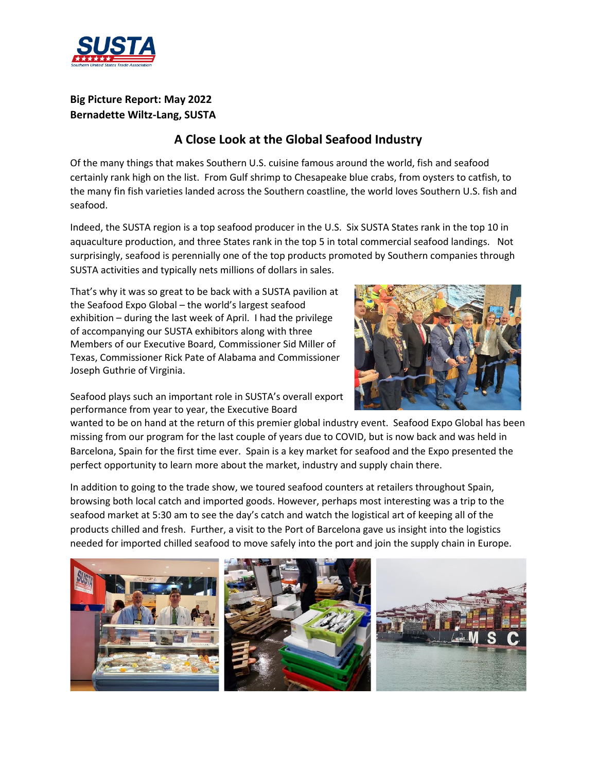

## **Big Picture Report: May 2022 Bernadette Wiltz-Lang, SUSTA**

## **A Close Look at the Global Seafood Industry**

Of the many things that makes Southern U.S. cuisine famous around the world, fish and seafood certainly rank high on the list. From Gulf shrimp to Chesapeake blue crabs, from oysters to catfish, to the many fin fish varieties landed across the Southern coastline, the world loves Southern U.S. fish and seafood.

Indeed, the SUSTA region is a top seafood producer in the U.S. Six SUSTA States rank in the top 10 in aquaculture production, and three States rank in the top 5 in total commercial seafood landings. Not surprisingly, seafood is perennially one of the top products promoted by Southern companies through SUSTA activities and typically nets millions of dollars in sales.

That's why it was so great to be back with a SUSTA pavilion at the Seafood Expo Global – the world's largest seafood exhibition – during the last week of April. I had the privilege of accompanying our SUSTA exhibitors along with three Members of our Executive Board, Commissioner Sid Miller of Texas, Commissioner Rick Pate of Alabama and Commissioner Joseph Guthrie of Virginia.



Seafood plays such an important role in SUSTA's overall export performance from year to year, the Executive Board

wanted to be on hand at the return of this premier global industry event. Seafood Expo Global has been missing from our program for the last couple of years due to COVID, but is now back and was held in Barcelona, Spain for the first time ever. Spain is a key market for seafood and the Expo presented the perfect opportunity to learn more about the market, industry and supply chain there.

In addition to going to the trade show, we toured seafood counters at retailers throughout Spain, browsing both local catch and imported goods. However, perhaps most interesting was a trip to the seafood market at 5:30 am to see the day's catch and watch the logistical art of keeping all of the products chilled and fresh. Further, a visit to the Port of Barcelona gave us insight into the logistics needed for imported chilled seafood to move safely into the port and join the supply chain in Europe.